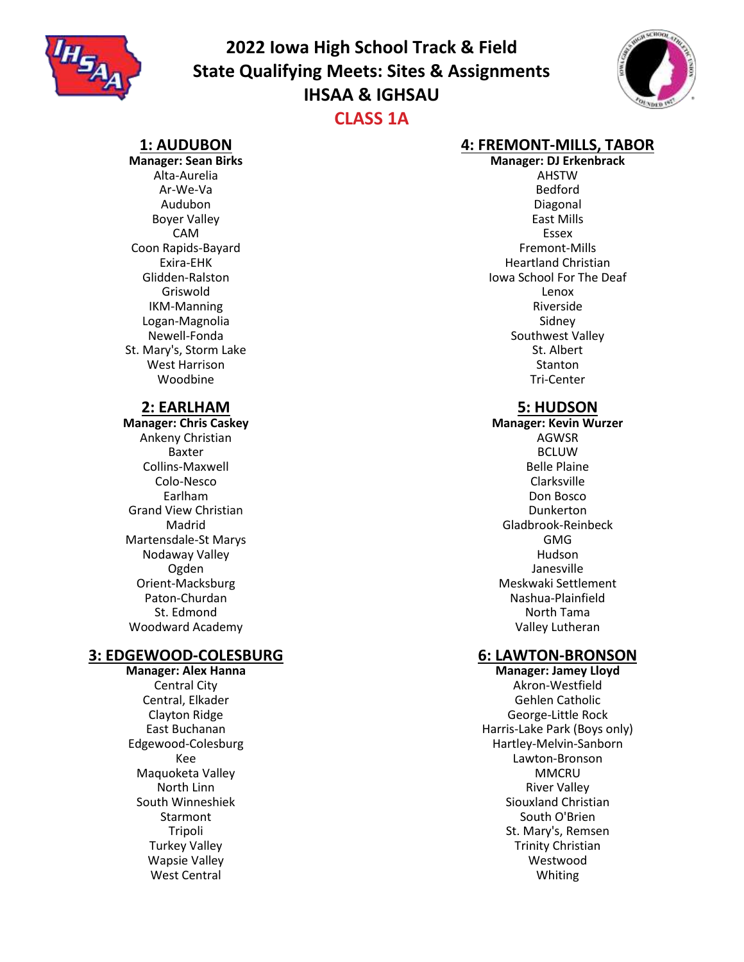

# **2022 Iowa High School Track & Field State Qualifying Meets: Sites & Assignments IHSAA & IGHSAU CLASS 1A**



#### **1: AUDUBON**

**Manager: Sean Birks** Alta-Aurelia Ar-We-Va Audubon Boyer Valley CAM Coon Rapids-Bayard Exira-EHK Glidden-Ralston Griswold IKM-Manning Logan-Magnolia Newell-Fonda St. Mary's, Storm Lake West Harrison Woodbine

#### **2: EARLHAM**

**Manager: Chris Caskey** Ankeny Christian Baxter Collins-Maxwell Colo-Nesco Earlham Grand View Christian Madrid Martensdale-St Marys Nodaway Valley Ogden Orient-Macksburg Paton-Churdan St. Edmond Woodward Academy

## **3: EDGEWOOD-COLESBURG**

**Manager: Alex Hanna** Central City Central, Elkader Clayton Ridge East Buchanan Edgewood-Colesburg Kee Maquoketa Valley North Linn South Winneshiek Starmont Tripoli Turkey Valley Wapsie Valley West Central

#### **4: FREMONT-MILLS, TABOR**

**Manager: DJ Erkenbrack** AHSTW Bedford Diagonal East Mills Essex Fremont-Mills Heartland Christian Iowa School For The Deaf Lenox Riverside Sidney Southwest Valley St. Albert **Stanton** Tri-Center

## **5: HUDSON**

**Manager: Kevin Wurzer** AGWSR BCLUW Belle Plaine Clarksville Don Bosco Dunkerton Gladbrook-Reinbeck GMG Hudson Janesville Meskwaki Settlement Nashua-Plainfield North Tama Valley Lutheran

#### **6: LAWTON-BRONSON**

**Manager: Jamey Lloyd** Akron-Westfield Gehlen Catholic George-Little Rock Harris-Lake Park (Boys only) Hartley-Melvin-Sanborn Lawton-Bronson **MMCRU** River Valley Siouxland Christian South O'Brien St. Mary's, Remsen Trinity Christian Westwood Whiting